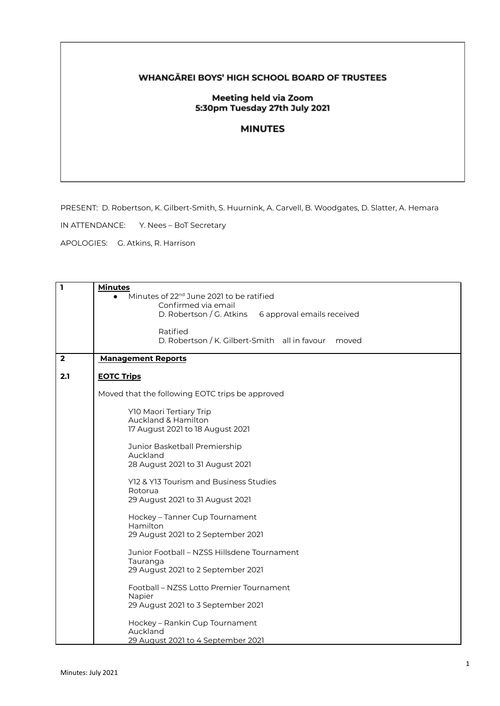## WHANGĀREI BOYS' HIGH SCHOOL BOARD OF TRUSTEES

## Meeting held via Zoom 5:30pm Tuesday 27th July 2021

## **MINUTES**

PRESENT: D. Robertson, K. Gilbert-Smith, S. Huurnink, A. Carvell, B. Woodgates, D. Slatter, A. Hemara

IN ATTENDANCE: Y. Nees – BoT Secretary

APOLOGIES: G. Atkins, R. Harrison

| $\mathbf{1}$            | <b>Minutes</b><br>Minutes of 22 <sup>nd</sup> June 2021 to be ratified<br>Confirmed via email<br>D. Robertson / G. Atkins<br>6 approval emails received |
|-------------------------|---------------------------------------------------------------------------------------------------------------------------------------------------------|
|                         | Ratified<br>D. Robertson / K. Gilbert-Smith all in favour<br>moved                                                                                      |
| $\overline{\mathbf{2}}$ | <b>Management Reports</b>                                                                                                                               |
| 2.1                     | <b>EOTC Trips</b>                                                                                                                                       |
|                         | Moved that the following EOTC trips be approved                                                                                                         |
|                         | Y10 Maori Tertiary Trip<br>Auckland & Hamilton<br>17 August 2021 to 18 August 2021                                                                      |
|                         | Junior Basketball Premiership<br>Auckland<br>28 August 2021 to 31 August 2021                                                                           |
|                         | Y12 & Y13 Tourism and Business Studies<br>Rotorua<br>29 August 2021 to 31 August 2021                                                                   |
|                         | Hockey - Tanner Cup Tournament<br>Hamilton<br>29 August 2021 to 2 September 2021                                                                        |
|                         | Junior Football – NZSS Hillsdene Tournament<br>Tauranga<br>29 August 2021 to 2 September 2021                                                           |
|                         | Football – NZSS Lotto Premier Tournament<br>Napier<br>29 August 2021 to 3 September 2021                                                                |
|                         | Hockey - Rankin Cup Tournament<br>Auckland<br>29 August 2021 to 4 September 2021                                                                        |